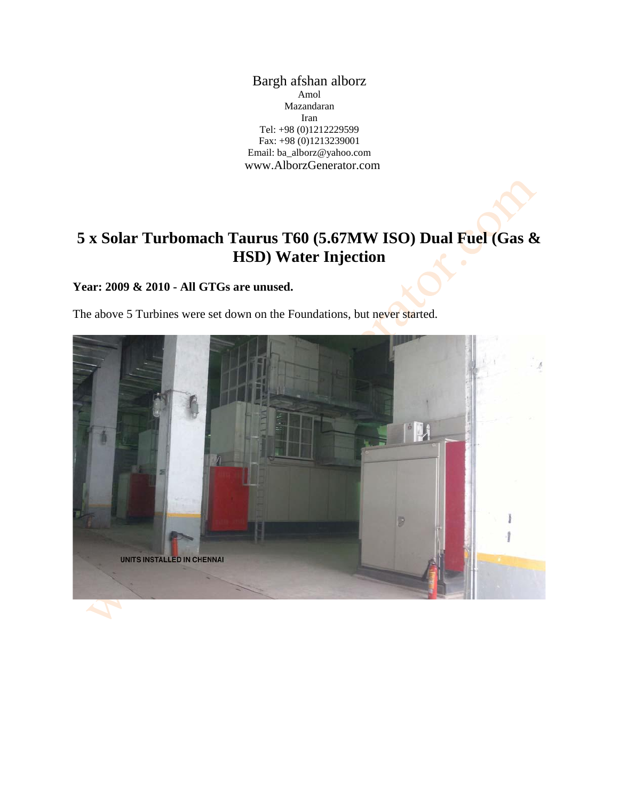Bargh afshan alborz Amol Mazandaran Iran Tel: +98 (0)1212229599 Fax: +98 (0)1213239001 Email: ba\_alborz@yahoo.com www.AlborzGenerator.com

# **5 x Solar Turbomach Taurus T60 (5.67MW ISO) Dual Fuel (Gas & HSD) Water Injection**

#### **Year: 2009 & 2010 - All GTGs are unused.**

The above 5 Turbines were set down on the Foundations, but never started.

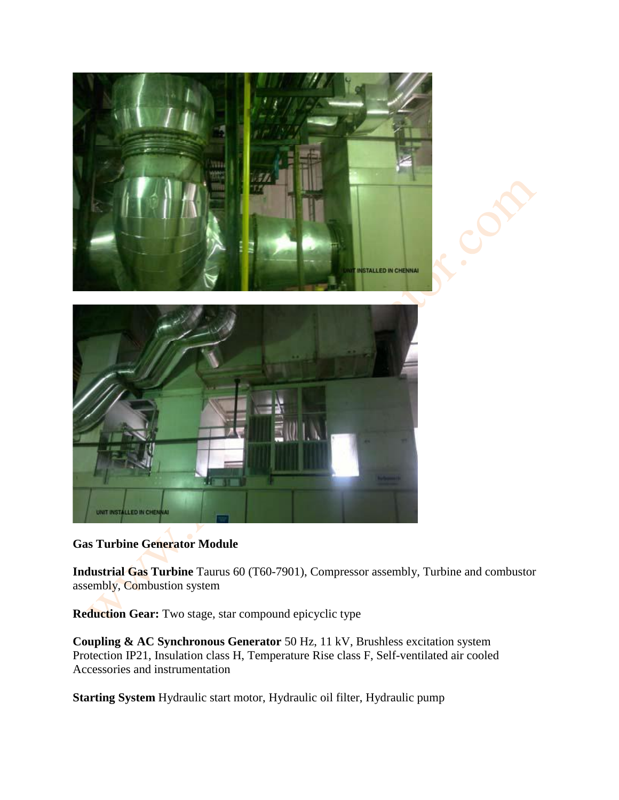

# **Gas Turbine Generator Module**

**Industrial Gas Turbine** Taurus 60 (T60-7901), Compressor assembly, Turbine and combustor assembly, Combustion system

**Reduction Gear:** Two stage, star compound epicyclic type

**Coupling & AC Synchronous Generator** 50 Hz, 11 kV, Brushless excitation system Protection IP21, Insulation class H, Temperature Rise class F, Self-ventilated air cooled Accessories and instrumentation

**Starting System** Hydraulic start motor, Hydraulic oil filter, Hydraulic pump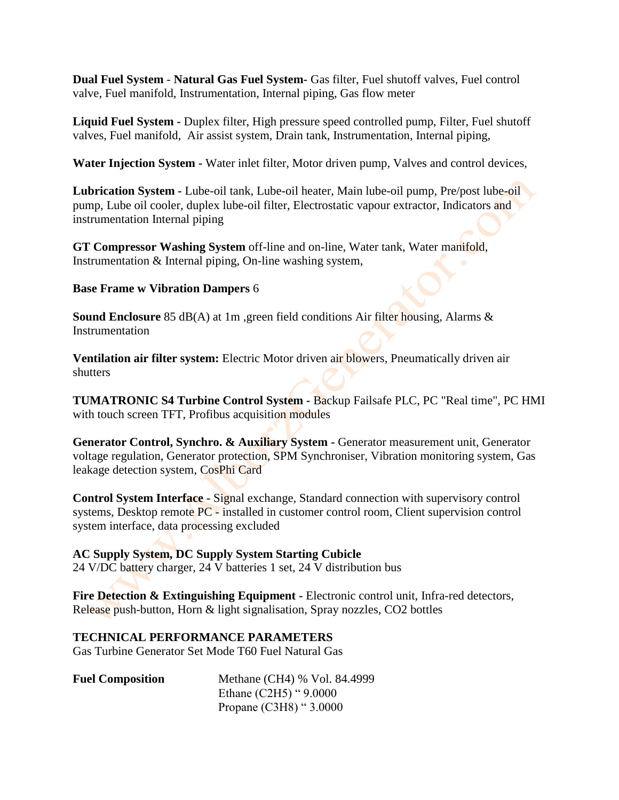**Dual Fuel System** - **Natural Gas Fuel System-** Gas filter, Fuel shutoff valves, Fuel control valve, Fuel manifold, Instrumentation, Internal piping, Gas flow meter

**Liquid Fuel System -** Duplex filter, High pressure speed controlled pump, Filter, Fuel shutoff valves, Fuel manifold, Air assist system, Drain tank, Instrumentation, Internal piping,

**Water Injection System -** Water inlet filter, Motor driven pump, Valves and control devices,

**Lubrication System -** Lube-oil tank, Lube-oil heater, Main lube-oil pump, Pre/post lube-oil pump, Lube oil cooler, duplex lube-oil filter, Electrostatic vapour extractor, Indicators and instrumentation Internal piping

**GT Compressor Washing System** off-line and on-line, Water tank, Water manifold, Instrumentation & Internal piping, On-line washing system,

#### **Base Frame w Vibration Dampers** 6

**Sound Enclosure** 85 dB(A) at 1m ,green field conditions Air filter housing, Alarms & Instrumentation

**Ventilation air filter system:** Electric Motor driven air blowers, Pneumatically driven air shutters

**TUMATRONIC S4 Turbine Control System -** Backup Failsafe PLC, PC "Real time", PC HMI with touch screen TFT, Profibus acquisition modules

**Generator Control, Synchro. & Auxiliary System -** Generator measurement unit, Generator voltage regulation, Generator protection, SPM Synchroniser, Vibration monitoring system, Gas leakage detection system, CosPhi Card

**Control System Interface -** Signal exchange, Standard connection with supervisory control systems, Desktop remote PC - installed in customer control room, Client supervision control system interface, data processing excluded

## **AC Supply System, DC Supply System Starting Cubicle**

24 V/DC battery charger, 24 V batteries 1 set, 24 V distribution bus

**Fire Detection & Extinguishing Equipment -** Electronic control unit, Infra-red detectors, Release push-button, Horn & light signalisation, Spray nozzles, CO2 bottles

#### **TECHNICAL PERFORMANCE PARAMETERS**

Gas Turbine Generator Set Mode T60 Fuel Natural Gas

| <b>Fuel Composition</b> | Methane (CH4) % Vol. 84.4999 |
|-------------------------|------------------------------|
|                         | Ethane $(C2H5)$ " $9.0000$   |
|                         | Propane $(C3H8)$ " 3.0000    |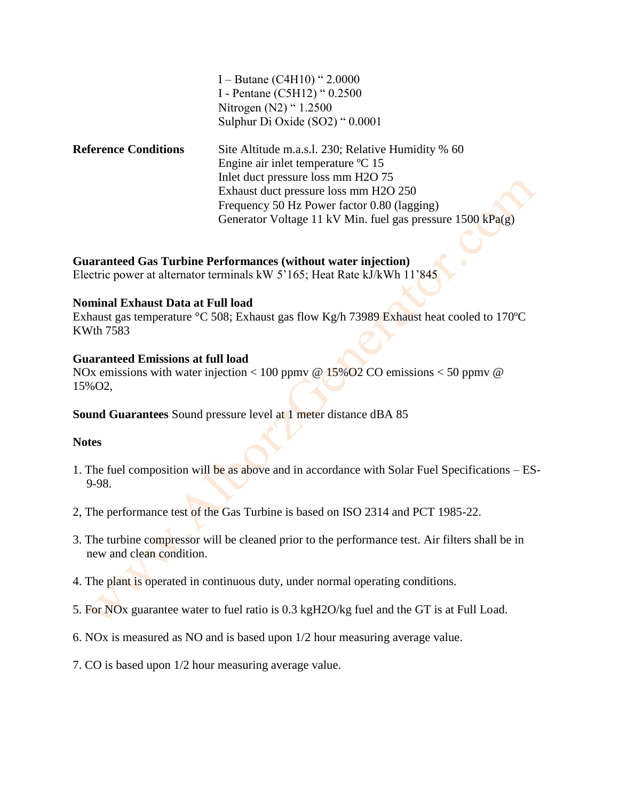|                             | I – Butane (C4H10) " $2.0000$                                        |
|-----------------------------|----------------------------------------------------------------------|
|                             | I - Pentane (C5H12) " 0.2500                                         |
|                             | Nitrogen (N2) "1.2500                                                |
|                             | Sulphur Di Oxide (SO2) " 0.0001                                      |
| <b>Reference Conditions</b> | Site Altitude m.a.s.l. 230; Relative Humidity % 60                   |
|                             | Engine air inlet temperature °C 15                                   |
|                             | Inlet duct pressure loss mm H2O 75                                   |
|                             | Exhaust duct pressure loss mm H2O 250                                |
|                             | Frequency 50 Hz Power factor 0.80 (lagging)                          |
|                             | Generator Voltage 11 kV Min. fuel gas pressure $1500 \text{ kPa(g)}$ |
|                             |                                                                      |

**Guaranteed Gas Turbine Performances (without water injection)**

Electric power at alternator terminals kW 5'165; Heat Rate kJ/kWh 11'845

#### **Nominal Exhaust Data at Full load**

Exhaust gas temperature °C 508; Exhaust gas flow Kg/h 73989 Exhaust heat cooled to 170ºC KWth 7583

#### **Guaranteed Emissions at full load**

NOx emissions with water injection < 100 ppmy @  $15\%$  O2 CO emissions < 50 ppmy @ 15%O2,

## **Sound Guarantees** Sound pressure level at 1 meter distance dBA 85

#### **Notes**

- 1. The fuel composition will be as above and in accordance with Solar Fuel Specifications ES-9-98.
- 2, The performance test of the Gas Turbine is based on ISO 2314 and PCT 1985-22.
- 3. The turbine compressor will be cleaned prior to the performance test. Air filters shall be in new and clean condition.
- 4. The plant is operated in continuous duty, under normal operating conditions.
- 5. For NOx guarantee water to fuel ratio is 0.3 kgH2O/kg fuel and the GT is at Full Load.
- 6. NOx is measured as NO and is based upon 1/2 hour measuring average value.
- 7. CO is based upon 1/2 hour measuring average value.